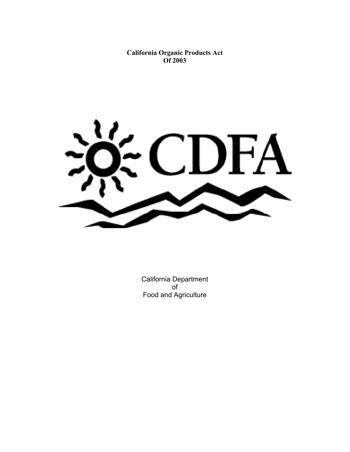**California Organic Products Act Of 2003** 



California Department of Food and Agriculture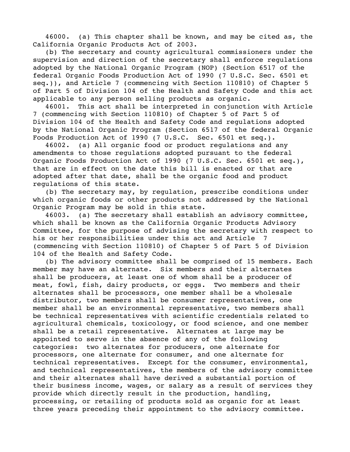46000. (a) This chapter shall be known, and may be cited as, the California Organic Products Act of 2003.

 (b) The secretary and county agricultural commissioners under the supervision and direction of the secretary shall enforce regulations adopted by the National Organic Program (NOP) (Section 6517 of the federal Organic Foods Production Act of 1990 (7 U.S.C. Sec. 6501 et seq.)), and Article 7 (commencing with Section 110810) of Chapter 5 of Part 5 of Division 104 of the Health and Safety Code and this act applicable to any person selling products as organic.

 46001. This act shall be interpreted in conjunction with Article 7 (commencing with Section 110810) of Chapter 5 of Part 5 of Division 104 of the Health and Safety Code and regulations adopted by the National Organic Program (Section 6517 of the federal Organic Foods Production Act of 1990 (7 U.S.C. Sec. 6501 et seq.).

 46002. (a) All organic food or product regulations and any amendments to those regulations adopted pursuant to the federal Organic Foods Production Act of 1990 (7 U.S.C. Sec. 6501 et seq.), that are in effect on the date this bill is enacted or that are adopted after that date, shall be the organic food and product regulations of this state.

 (b) The secretary may, by regulation, prescribe conditions under which organic foods or other products not addressed by the National Organic Program may be sold in this state.

 46003. (a) The secretary shall establish an advisory committee, which shall be known as the California Organic Products Advisory Committee, for the purpose of advising the secretary with respect to his or her responsibilities under this act and Article 7 (commencing with Section 110810) of Chapter 5 of Part 5 of Division 104 of the Health and Safety Code.

 (b) The advisory committee shall be comprised of 15 members. Each member may have an alternate. Six members and their alternates shall be producers, at least one of whom shall be a producer of meat, fowl, fish, dairy products, or eggs. Two members and their alternates shall be processors, one member shall be a wholesale distributor, two members shall be consumer representatives, one member shall be an environmental representative, two members shall be technical representatives with scientific credentials related to agricultural chemicals, toxicology, or food science, and one member shall be a retail representative. Alternates at large may be appointed to serve in the absence of any of the following categories: two alternates for producers, one alternate for processors, one alternate for consumer, and one alternate for technical representatives. Except for the consumer, environmental, and technical representatives, the members of the advisory committee and their alternates shall have derived a substantial portion of their business income, wages, or salary as a result of services they provide which directly result in the production, handling, processing, or retailing of products sold as organic for at least three years preceding their appointment to the advisory committee.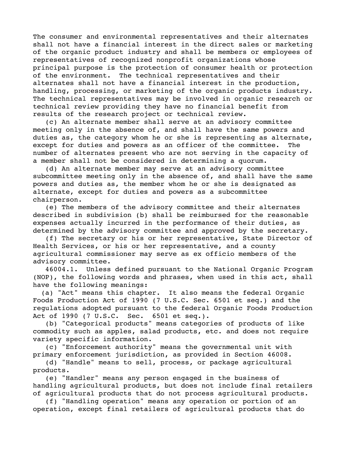The consumer and environmental representatives and their alternates shall not have a financial interest in the direct sales or marketing of the organic product industry and shall be members or employees of representatives of recognized nonprofit organizations whose principal purpose is the protection of consumer health or protection of the environment. The technical representatives and their alternates shall not have a financial interest in the production, handling, processing, or marketing of the organic products industry. The technical representatives may be involved in organic research or technical review providing they have no financial benefit from results of the research project or technical review.

 (c) An alternate member shall serve at an advisory committee meeting only in the absence of, and shall have the same powers and duties as, the category whom he or she is representing as alternate, except for duties and powers as an officer of the committee. The number of alternates present who are not serving in the capacity of a member shall not be considered in determining a quorum.

 (d) An alternate member may serve at an advisory committee subcommittee meeting only in the absence of, and shall have the same powers and duties as, the member whom he or she is designated as alternate, except for duties and powers as a subcommittee chairperson.

 (e) The members of the advisory committee and their alternates described in subdivision (b) shall be reimbursed for the reasonable expenses actually incurred in the performance of their duties, as determined by the advisory committee and approved by the secretary.

 (f) The secretary or his or her representative, State Director of Health Services, or his or her representative, and a county agricultural commissioner may serve as ex officio members of the advisory committee.

 46004.1. Unless defined pursuant to the National Organic Program (NOP), the following words and phrases, when used in this act, shall have the following meanings:

 (a) "Act" means this chapter. It also means the federal Organic Foods Production Act of 1990 (7 U.S.C. Sec. 6501 et seq.) and the regulations adopted pursuant to the federal Organic Foods Production Act of 1990 (7 U.S.C. Sec. 6501 et seq.).

 (b) "Categorical products" means categories of products of like commodity such as apples, salad products, etc. and does not require variety specific information.

 (c) "Enforcement authority" means the governmental unit with primary enforcement jurisdiction, as provided in Section 46008.

 (d) "Handle" means to sell, process, or package agricultural products.

 (e) "Handler" means any person engaged in the business of handling agricultural products, but does not include final retailers of agricultural products that do not process agricultural products.

 (f) "Handling operation" means any operation or portion of an operation, except final retailers of agricultural products that do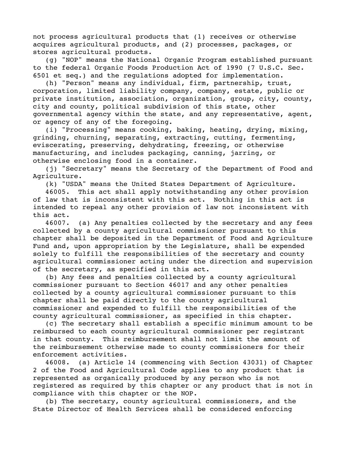not process agricultural products that (1) receives or otherwise acquires agricultural products, and (2) processes, packages, or stores agricultural products.

 (g) "NOP" means the National Organic Program established pursuant to the federal Organic Foods Production Act of 1990 (7 U.S.C. Sec. 6501 et seq.) and the regulations adopted for implementation.

 (h) "Person" means any individual, firm, partnership, trust, corporation, limited liability company, company, estate, public or private institution, association, organization, group, city, county, city and county, political subdivision of this state, other governmental agency within the state, and any representative, agent, or agency of any of the foregoing.

 (i) "Processing" means cooking, baking, heating, drying, mixing, grinding, churning, separating, extracting, cutting, fermenting, eviscerating, preserving, dehydrating, freezing, or otherwise manufacturing, and includes packaging, canning, jarring, or otherwise enclosing food in a container.

 (j) "Secretary" means the Secretary of the Department of Food and Agriculture.

(k) "USDA" means the United States Department of Agriculture.

 46005. This act shall apply notwithstanding any other provision of law that is inconsistent with this act. Nothing in this act is intended to repeal any other provision of law not inconsistent with this act.

 46007. (a) Any penalties collected by the secretary and any fees collected by a county agricultural commissioner pursuant to this chapter shall be deposited in the Department of Food and Agriculture Fund and, upon appropriation by the Legislature, shall be expended solely to fulfill the responsibilities of the secretary and county agricultural commissioner acting under the direction and supervision of the secretary, as specified in this act.

 (b) Any fees and penalties collected by a county agricultural commissioner pursuant to Section 46017 and any other penalties collected by a county agricultural commissioner pursuant to this chapter shall be paid directly to the county agricultural commissioner and expended to fulfill the responsibilities of the county agricultural commissioner, as specified in this chapter.

 (c) The secretary shall establish a specific minimum amount to be reimbursed to each county agricultural commissioner per registrant in that county. This reimbursement shall not limit the amount of the reimbursement otherwise made to county commissioners for their enforcement activities.

 46008. (a) Article 14 (commencing with Section 43031) of Chapter 2 of the Food and Agricultural Code applies to any product that is represented as organically produced by any person who is not registered as required by this chapter or any product that is not in compliance with this chapter or the NOP.

 (b) The secretary, county agricultural commissioners, and the State Director of Health Services shall be considered enforcing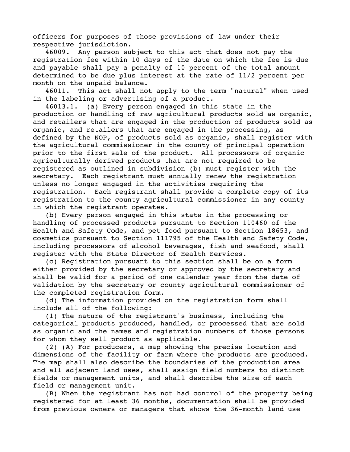officers for purposes of those provisions of law under their respective jurisdiction.

 46009. Any person subject to this act that does not pay the registration fee within 10 days of the date on which the fee is due and payable shall pay a penalty of 10 percent of the total amount determined to be due plus interest at the rate of 11/2 percent per month on the unpaid balance.

 46011. This act shall not apply to the term "natural" when used in the labeling or advertising of a product.

 46013.1. (a) Every person engaged in this state in the production or handling of raw agricultural products sold as organic, and retailers that are engaged in the production of products sold as organic, and retailers that are engaged in the processing, as defined by the NOP, of products sold as organic, shall register with the agricultural commissioner in the county of principal operation prior to the first sale of the product. All processors of organic agriculturally derived products that are not required to be registered as outlined in subdivision (b) must register with the secretary. Each registrant must annually renew the registration unless no longer engaged in the activities requiring the registration. Each registrant shall provide a complete copy of its registration to the county agricultural commissioner in any county in which the registrant operates.

 (b) Every person engaged in this state in the processing or handling of processed products pursuant to Section 110460 of the Health and Safety Code, and pet food pursuant to Section 18653, and cosmetics pursuant to Section 111795 of the Health and Safety Code, including processors of alcohol beverages, fish and seafood, shall register with the State Director of Health Services.

 (c) Registration pursuant to this section shall be on a form either provided by the secretary or approved by the secretary and shall be valid for a period of one calendar year from the date of validation by the secretary or county agricultural commissioner of the completed registration form.

 (d) The information provided on the registration form shall include all of the following:

 (1) The nature of the registrant's business, including the categorical products produced, handled, or processed that are sold as organic and the names and registration numbers of those persons for whom they sell product as applicable.

 (2) (A) For producers, a map showing the precise location and dimensions of the facility or farm where the products are produced. The map shall also describe the boundaries of the production area and all adjacent land uses, shall assign field numbers to distinct fields or management units, and shall describe the size of each field or management unit.

 (B) When the registrant has not had control of the property being registered for at least 36 months, documentation shall be provided from previous owners or managers that shows the 36-month land use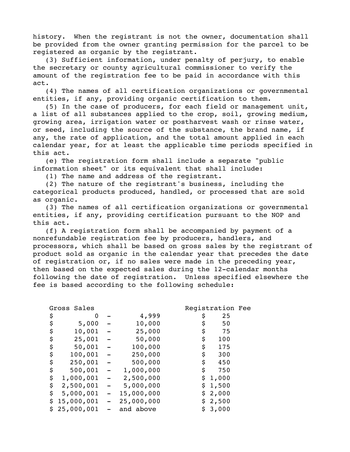history. When the registrant is not the owner, documentation shall be provided from the owner granting permission for the parcel to be registered as organic by the registrant.

 (3) Sufficient information, under penalty of perjury, to enable the secretary or county agricultural commissioner to verify the amount of the registration fee to be paid in accordance with this act.

 (4) The names of all certification organizations or governmental entities, if any, providing organic certification to them.

 (5) In the case of producers, for each field or management unit, a list of all substances applied to the crop, soil, growing medium, growing area, irrigation water or postharvest wash or rinse water, or seed, including the source of the substance, the brand name, if any, the rate of application, and the total amount applied in each calendar year, for at least the applicable time periods specified in this act.

 (e) The registration form shall include a separate "public information sheet" or its equivalent that shall include:

(1) The name and address of the registrant.

 (2) The nature of the registrant's business, including the categorical products produced, handled, or processed that are sold as organic.

 (3) The names of all certification organizations or governmental entities, if any, providing certification pursuant to the NOP and this act.

 (f) A registration form shall be accompanied by payment of a nonrefundable registration fee by producers, handlers, and processors, which shall be based on gross sales by the registrant of product sold as organic in the calendar year that precedes the date of registration or, if no sales were made in the preceding year, then based on the expected sales during the 12-calendar months following the date of registration. Unless specified elsewhere the fee is based according to the following schedule:

| Gross Sales      |                          |            | Registration Fee |
|------------------|--------------------------|------------|------------------|
| \$<br>0          |                          | 4,999      | 25<br>\$         |
| \$<br>5,000      |                          | 10,000     | 50               |
| \$<br>10,001     | $\overline{\phantom{a}}$ | 25,000     | 75<br>\$         |
| \$<br>25,001     | $\overline{\phantom{m}}$ | 50,000     | 100<br>\$        |
| \$<br>50,001     |                          | 100,000    | \$<br>175        |
| \$<br>100,001    |                          | 250,000    | \$<br>300        |
| \$<br>250,001    | $\overline{\phantom{m}}$ | 500,000    | \$<br>450        |
| \$<br>500,001    |                          | 1,000,000  | \$<br>750        |
| \$<br>1,000,001  | $ \sim$                  | 2,500,000  | \$1,000          |
| \$<br>2,500,001  | $-$                      | 5,000,000  | \$1,500          |
| \$<br>5,000,001  | $-$                      | 15,000,000 | \$2,000          |
| \$<br>15,000,001 | $\sim$                   | 25,000,000 | \$2,500          |
| \$<br>25,000,001 |                          | and above  | \$3,000          |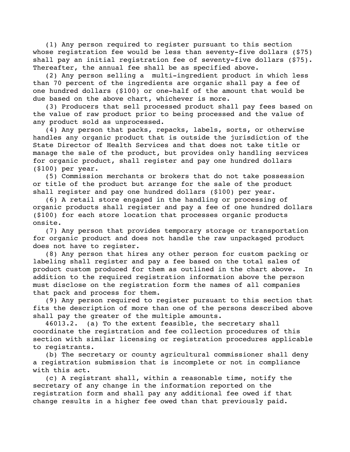(1) Any person required to register pursuant to this section whose registration fee would be less than seventy-five dollars (\$75) shall pay an initial registration fee of seventy-five dollars (\$75). Thereafter, the annual fee shall be as specified above.

 (2) Any person selling a multi-ingredient product in which less than 70 percent of the ingredients are organic shall pay a fee of one hundred dollars (\$100) or one-half of the amount that would be due based on the above chart, whichever is more.

 (3) Producers that sell processed product shall pay fees based on the value of raw product prior to being processed and the value of any product sold as unprocessed.

 (4) Any person that packs, repacks, labels, sorts, or otherwise handles any organic product that is outside the jurisdiction of the State Director of Health Services and that does not take title or manage the sale of the product, but provides only handling services for organic product, shall register and pay one hundred dollars (\$100) per year.

 (5) Commission merchants or brokers that do not take possession or title of the product but arrange for the sale of the product shall register and pay one hundred dollars (\$100) per year.

 (6) A retail store engaged in the handling or processing of organic products shall register and pay a fee of one hundred dollars (\$100) for each store location that processes organic products onsite.

 (7) Any person that provides temporary storage or transportation for organic product and does not handle the raw unpackaged product does not have to register.

 (8) Any person that hires any other person for custom packing or labeling shall register and pay a fee based on the total sales of product custom produced for them as outlined in the chart above. In addition to the required registration information above the person must disclose on the registration form the names of all companies that pack and process for them.

 (9) Any person required to register pursuant to this section that fits the description of more than one of the persons described above shall pay the greater of the multiple amounts.

 46013.2. (a) To the extent feasible, the secretary shall coordinate the registration and fee collection procedures of this section with similar licensing or registration procedures applicable to registrants.

 (b) The secretary or county agricultural commissioner shall deny a registration submission that is incomplete or not in compliance with this act.

 (c) A registrant shall, within a reasonable time, notify the secretary of any change in the information reported on the registration form and shall pay any additional fee owed if that change results in a higher fee owed than that previously paid.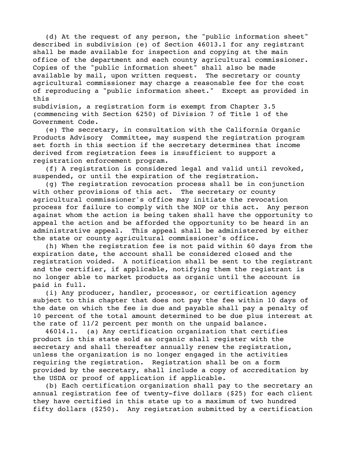(d) At the request of any person, the "public information sheet" described in subdivision (e) of Section 46013.1 for any registrant shall be made available for inspection and copying at the main office of the department and each county agricultural commissioner. Copies of the "public information sheet" shall also be made available by mail, upon written request. The secretary or county agricultural commissioner may charge a reasonable fee for the cost of reproducing a "public information sheet." Except as provided in this

subdivision, a registration form is exempt from Chapter 3.5 (commencing with Section 6250) of Division 7 of Title 1 of the Government Code.

 (e) The secretary, in consultation with the California Organic Products Advisory Committee, may suspend the registration program set forth in this section if the secretary determines that income derived from registration fees is insufficient to support a registration enforcement program.

 (f) A registration is considered legal and valid until revoked, suspended, or until the expiration of the registration.

 (g) The registration revocation process shall be in conjunction with other provisions of this act. The secretary or county agricultural commissioner's office may initiate the revocation process for failure to comply with the NOP or this act. Any person against whom the action is being taken shall have the opportunity to appeal the action and be afforded the opportunity to be heard in an administrative appeal. This appeal shall be administered by either the state or county agricultural commissioner's office.

 (h) When the registration fee is not paid within 60 days from the expiration date, the account shall be considered closed and the registration voided. A notification shall be sent to the registrant and the certifier, if applicable, notifying them the registrant is no longer able to market products as organic until the account is paid in full.

 (i) Any producer, handler, processor, or certification agency subject to this chapter that does not pay the fee within 10 days of the date on which the fee is due and payable shall pay a penalty of 10 percent of the total amount determined to be due plus interest at the rate of 11/2 percent per month on the unpaid balance.

 46014.1. (a) Any certification organization that certifies product in this state sold as organic shall register with the secretary and shall thereafter annually renew the registration, unless the organization is no longer engaged in the activities requiring the registration. Registration shall be on a form provided by the secretary, shall include a copy of accreditation by the USDA or proof of application if applicable.

 (b) Each certification organization shall pay to the secretary an annual registration fee of twenty-five dollars (\$25) for each client they have certified in this state up to a maximum of two hundred fifty dollars (\$250). Any registration submitted by a certification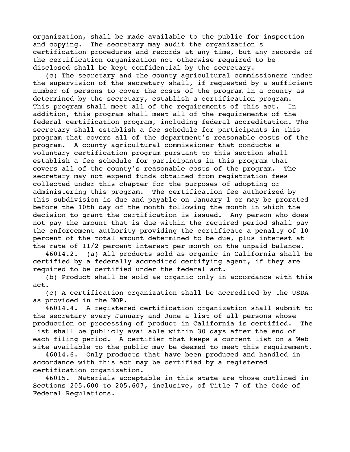organization, shall be made available to the public for inspection and copying. The secretary may audit the organization's certification procedures and records at any time, but any records of the certification organization not otherwise required to be disclosed shall be kept confidential by the secretary.

 (c) The secretary and the county agricultural commissioners under the supervision of the secretary shall, if requested by a sufficient number of persons to cover the costs of the program in a county as determined by the secretary, establish a certification program. This program shall meet all of the requirements of this act. In addition, this program shall meet all of the requirements of the federal certification program, including federal accreditation. The secretary shall establish a fee schedule for participants in this program that covers all of the department's reasonable costs of the program. A county agricultural commissioner that conducts a voluntary certification program pursuant to this section shall establish a fee schedule for participants in this program that covers all of the county's reasonable costs of the program. The secretary may not expend funds obtained from registration fees collected under this chapter for the purposes of adopting or administering this program. The certification fee authorized by this subdivision is due and payable on January 1 or may be prorated before the 10th day of the month following the month in which the decision to grant the certification is issued. Any person who does not pay the amount that is due within the required period shall pay the enforcement authority providing the certificate a penalty of 10 percent of the total amount determined to be due, plus interest at the rate of 11/2 percent interest per month on the unpaid balance.

 46014.2. (a) All products sold as organic in California shall be certified by a federally accredited certifying agent, if they are required to be certified under the federal act.

 (b) Product shall be sold as organic only in accordance with this act.

 (c) A certification organization shall be accredited by the USDA as provided in the NOP.

 46014.4. A registered certification organization shall submit to the secretary every January and June a list of all persons whose production or processing of product in California is certified. The list shall be publicly available within 30 days after the end of each filing period. A certifier that keeps a current list on a Web site available to the public may be deemed to meet this requirement.

 46014.6. Only products that have been produced and handled in accordance with this act may be certified by a registered certification organization.

 46015. Materials acceptable in this state are those outlined in Sections 205.600 to 205.607, inclusive, of Title 7 of the Code of Federal Regulations.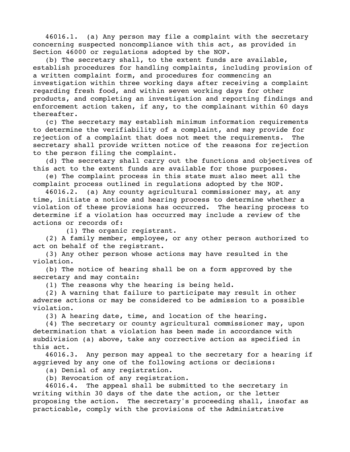46016.1. (a) Any person may file a complaint with the secretary concerning suspected noncompliance with this act, as provided in Section 46000 or regulations adopted by the NOP.

 (b) The secretary shall, to the extent funds are available, establish procedures for handling complaints, including provision of a written complaint form, and procedures for commencing an investigation within three working days after receiving a complaint regarding fresh food, and within seven working days for other products, and completing an investigation and reporting findings and enforcement action taken, if any, to the complainant within 60 days thereafter.

 (c) The secretary may establish minimum information requirements to determine the verifiability of a complaint, and may provide for rejection of a complaint that does not meet the requirements. The secretary shall provide written notice of the reasons for rejection to the person filing the complaint.

 (d) The secretary shall carry out the functions and objectives of this act to the extent funds are available for those purposes.

 (e) The complaint process in this state must also meet all the complaint process outlined in regulations adopted by the NOP.

 46016.2. (a) Any county agricultural commissioner may, at any time, initiate a notice and hearing process to determine whether a violation of these provisions has occurred. The hearing process to determine if a violation has occurred may include a review of the actions or records of:

(1) The organic registrant.

 (2) A family member, employee, or any other person authorized to act on behalf of the registrant.

 (3) Any other person whose actions may have resulted in the violation.

 (b) The notice of hearing shall be on a form approved by the secretary and may contain:

(1) The reasons why the hearing is being held.

 (2) A warning that failure to participate may result in other adverse actions or may be considered to be admission to a possible violation.

(3) A hearing date, time, and location of the hearing.

 (4) The secretary or county agricultural commissioner may, upon determination that a violation has been made in accordance with subdivision (a) above, take any corrective action as specified in this act.

 46016.3. Any person may appeal to the secretary for a hearing if aggrieved by any one of the following actions or decisions:

(a) Denial of any registration.

(b) Revocation of any registration.

 46016.4. The appeal shall be submitted to the secretary in writing within 30 days of the date the action, or the letter proposing the action. The secretary's proceeding shall, insofar as practicable, comply with the provisions of the Administrative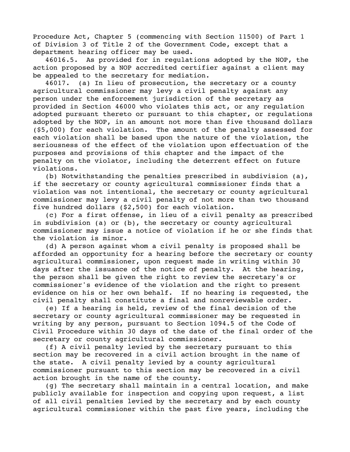Procedure Act, Chapter 5 (commencing with Section 11500) of Part 1 of Division 3 of Title 2 of the Government Code, except that a department hearing officer may be used.

 46016.5. As provided for in regulations adopted by the NOP, the action proposed by a NOP accredited certifier against a client may be appealed to the secretary for mediation.

 46017. (a) In lieu of prosecution, the secretary or a county agricultural commissioner may levy a civil penalty against any person under the enforcement jurisdiction of the secretary as provided in Section 46000 who violates this act, or any regulation adopted pursuant thereto or pursuant to this chapter, or regulations adopted by the NOP, in an amount not more than five thousand dollars (\$5,000) for each violation. The amount of the penalty assessed for each violation shall be based upon the nature of the violation, the seriousness of the effect of the violation upon effectuation of the purposes and provisions of this chapter and the impact of the penalty on the violator, including the deterrent effect on future violations.

 (b) Notwithstanding the penalties prescribed in subdivision (a), if the secretary or county agricultural commissioner finds that a violation was not intentional, the secretary or county agricultural commissioner may levy a civil penalty of not more than two thousand five hundred dollars (\$2,500) for each violation.

 (c) For a first offense, in lieu of a civil penalty as prescribed in subdivision (a) or (b), the secretary or county agricultural commissioner may issue a notice of violation if he or she finds that the violation is minor.

 (d) A person against whom a civil penalty is proposed shall be afforded an opportunity for a hearing before the secretary or county agricultural commissioner, upon request made in writing within 30 days after the issuance of the notice of penalty. At the hearing, the person shall be given the right to review the secretary's or commissioner's evidence of the violation and the right to present evidence on his or her own behalf. If no hearing is requested, the civil penalty shall constitute a final and nonreviewable order.

 (e) If a hearing is held, review of the final decision of the secretary or county agricultural commissioner may be requested in writing by any person, pursuant to Section 1094.5 of the Code of Civil Procedure within 30 days of the date of the final order of the secretary or county agricultural commissioner.

 (f) A civil penalty levied by the secretary pursuant to this section may be recovered in a civil action brought in the name of the state. A civil penalty levied by a county agricultural commissioner pursuant to this section may be recovered in a civil action brought in the name of the county.

 (g) The secretary shall maintain in a central location, and make publicly available for inspection and copying upon request, a list of all civil penalties levied by the secretary and by each county agricultural commissioner within the past five years, including the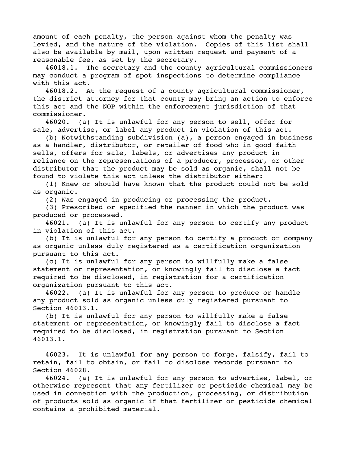amount of each penalty, the person against whom the penalty was levied, and the nature of the violation. Copies of this list shall also be available by mail, upon written request and payment of a reasonable fee, as set by the secretary.

 46018.1. The secretary and the county agricultural commissioners may conduct a program of spot inspections to determine compliance with this act.

 46018.2. At the request of a county agricultural commissioner, the district attorney for that county may bring an action to enforce this act and the NOP within the enforcement jurisdiction of that commissioner.

 46020. (a) It is unlawful for any person to sell, offer for sale, advertise, or label any product in violation of this act.

 (b) Notwithstanding subdivision (a), a person engaged in business as a handler, distributor, or retailer of food who in good faith sells, offers for sale, labels, or advertises any product in reliance on the representations of a producer, processor, or other distributor that the product may be sold as organic, shall not be found to violate this act unless the distributor either:

 (1) Knew or should have known that the product could not be sold as organic.

(2) Was engaged in producing or processing the product.

 (3) Prescribed or specified the manner in which the product was produced or processed.

 46021. (a) It is unlawful for any person to certify any product in violation of this act.

 (b) It is unlawful for any person to certify a product or company as organic unless duly registered as a certification organization pursuant to this act.

 (c) It is unlawful for any person to willfully make a false statement or representation, or knowingly fail to disclose a fact required to be disclosed, in registration for a certification organization pursuant to this act.

 46022. (a) It is unlawful for any person to produce or handle any product sold as organic unless duly registered pursuant to Section 46013.1.

 (b) It is unlawful for any person to willfully make a false statement or representation, or knowingly fail to disclose a fact required to be disclosed, in registration pursuant to Section 46013.1.

 46023. It is unlawful for any person to forge, falsify, fail to retain, fail to obtain, or fail to disclose records pursuant to Section 46028.

 46024. (a) It is unlawful for any person to advertise, label, or otherwise represent that any fertilizer or pesticide chemical may be used in connection with the production, processing, or distribution of products sold as organic if that fertilizer or pesticide chemical contains a prohibited material.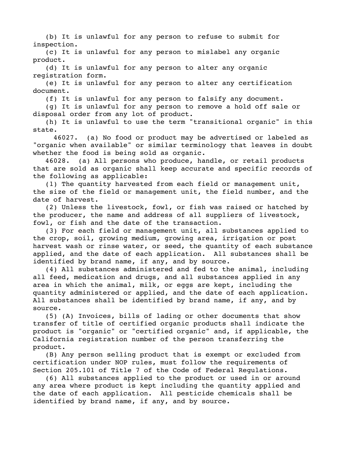(b) It is unlawful for any person to refuse to submit for inspection.

 (c) It is unlawful for any person to mislabel any organic product.

 (d) It is unlawful for any person to alter any organic registration form.

 (e) It is unlawful for any person to alter any certification document.

(f) It is unlawful for any person to falsify any document.

 (g) It is unlawful for any person to remove a hold off sale or disposal order from any lot of product.

 (h) It is unlawful to use the term "transitional organic" in this state.

 46027. (a) No food or product may be advertised or labeled as "organic when available" or similar terminology that leaves in doubt whether the food is being sold as organic.

 46028. (a) All persons who produce, handle, or retail products that are sold as organic shall keep accurate and specific records of the following as applicable:

 (1) The quantity harvested from each field or management unit, the size of the field or management unit, the field number, and the date of harvest.

 (2) Unless the livestock, fowl, or fish was raised or hatched by the producer, the name and address of all suppliers of livestock, fowl, or fish and the date of the transaction.

 (3) For each field or management unit, all substances applied to the crop, soil, growing medium, growing area, irrigation or post harvest wash or rinse water, or seed, the quantity of each substance applied, and the date of each application. All substances shall be identified by brand name, if any, and by source.

 (4) All substances administered and fed to the animal, including all feed, medication and drugs, and all substances applied in any area in which the animal, milk, or eggs are kept, including the quantity administered or applied, and the date of each application. All substances shall be identified by brand name, if any, and by source.

 (5) (A) Invoices, bills of lading or other documents that show transfer of title of certified organic products shall indicate the product is "organic" or "certified organic" and, if applicable, the California registration number of the person transferring the product.

 (B) Any person selling product that is exempt or excluded from certification under NOP rules, must follow the requirements of Section 205.101 of Title 7 of the Code of Federal Regulations.

 (6) All substances applied to the product or used in or around any area where product is kept including the quantity applied and the date of each application. All pesticide chemicals shall be identified by brand name, if any, and by source.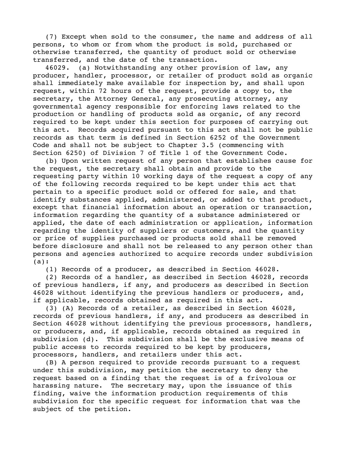(7) Except when sold to the consumer, the name and address of all persons, to whom or from whom the product is sold, purchased or otherwise transferred, the quantity of product sold or otherwise transferred, and the date of the transaction.

 46029. (a) Notwithstanding any other provision of law, any producer, handler, processor, or retailer of product sold as organic shall immediately make available for inspection by, and shall upon request, within 72 hours of the request, provide a copy to, the secretary, the Attorney General, any prosecuting attorney, any governmental agency responsible for enforcing laws related to the production or handling of products sold as organic, of any record required to be kept under this section for purposes of carrying out this act. Records acquired pursuant to this act shall not be public records as that term is defined in Section 6252 of the Government Code and shall not be subject to Chapter 3.5 (commencing with Section 6250) of Division 7 of Title 1 of the Government Code.

 (b) Upon written request of any person that establishes cause for the request, the secretary shall obtain and provide to the requesting party within 10 working days of the request a copy of any of the following records required to be kept under this act that pertain to a specific product sold or offered for sale, and that identify substances applied, administered, or added to that product, except that financial information about an operation or transaction, information regarding the quantity of a substance administered or applied, the date of each administration or application, information regarding the identity of suppliers or customers, and the quantity or price of supplies purchased or products sold shall be removed before disclosure and shall not be released to any person other than persons and agencies authorized to acquire records under subdivision (a):

(1) Records of a producer, as described in Section 46028.

 (2) Records of a handler, as described in Section 46028, records of previous handlers, if any, and producers as described in Section 46028 without identifying the previous handlers or producers, and, if applicable, records obtained as required in this act.

 (3) (A) Records of a retailer, as described in Section 46028, records of previous handlers, if any, and producers as described in Section 46028 without identifying the previous processors, handlers, or producers, and, if applicable, records obtained as required in subdivision (d). This subdivision shall be the exclusive means of public access to records required to be kept by producers, processors, handlers, and retailers under this act.

 (B) A person required to provide records pursuant to a request under this subdivision, may petition the secretary to deny the request based on a finding that the request is of a frivolous or harassing nature. The secretary may, upon the issuance of this finding, waive the information production requirements of this subdivision for the specific request for information that was the subject of the petition.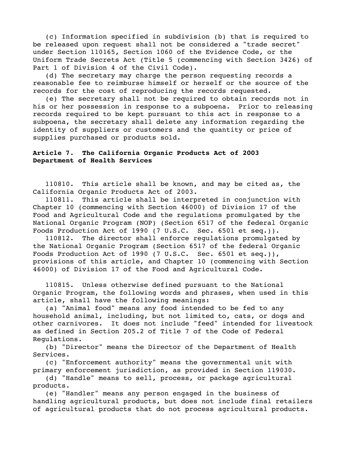(c) Information specified in subdivision (b) that is required to be released upon request shall not be considered a "trade secret" under Section 110165, Section 1060 of the Evidence Code, or the Uniform Trade Secrets Act (Title 5 (commencing with Section 3426) of Part 1 of Division 4 of the Civil Code).

 (d) The secretary may charge the person requesting records a reasonable fee to reimburse himself or herself or the source of the records for the cost of reproducing the records requested.

 (e) The secretary shall not be required to obtain records not in his or her possession in response to a subpoena. Prior to releasing records required to be kept pursuant to this act in response to a subpoena, the secretary shall delete any information regarding the identity of suppliers or customers and the quantity or price of supplies purchased or products sold.

## **Article 7. The California Organic Products Act of 2003 Department of Health Services**

 110810. This article shall be known, and may be cited as, the California Organic Products Act of 2003.

 110811. This article shall be interpreted in conjunction with Chapter 10 (commencing with Section 46000) of Division 17 of the Food and Agricultural Code and the regulations promulgated by the National Organic Program (NOP) (Section 6517 of the federal Organic Foods Production Act of 1990 (7 U.S.C. Sec. 6501 et seq.)).

 110812. The director shall enforce regulations promulgated by the National Organic Program (Section 6517 of the federal Organic Foods Production Act of 1990 (7 U.S.C. Sec. 6501 et seq.)), provisions of this article, and Chapter 10 (commencing with Section 46000) of Division 17 of the Food and Agricultural Code.

 110815. Unless otherwise defined pursuant to the National Organic Program, the following words and phrases, when used in this article, shall have the following meanings:

 (a) "Animal food" means any food intended to be fed to any household animal, including, but not limited to, cats, or dogs and other carnivores. It does not include "feed" intended for livestock as defined in Section 205.2 of Title 7 of the Code of Federal Regulations.

 (b) "Director" means the Director of the Department of Health Services.

 (c) "Enforcement authority" means the governmental unit with primary enforcement jurisdiction, as provided in Section 119030.

 (d) "Handle" means to sell, process, or package agricultural products.

 (e) "Handler" means any person engaged in the business of handling agricultural products, but does not include final retailers of agricultural products that do not process agricultural products.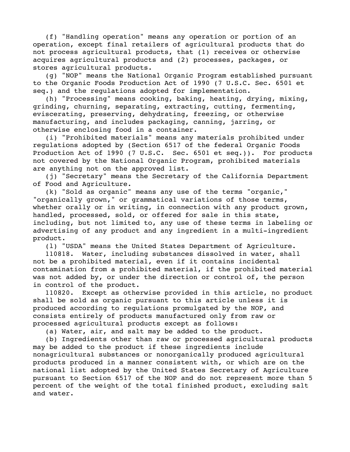(f) "Handling operation" means any operation or portion of an operation, except final retailers of agricultural products that do not process agricultural products, that (1) receives or otherwise acquires agricultural products and (2) processes, packages, or stores agricultural products.

 (g) "NOP" means the National Organic Program established pursuant to the Organic Foods Production Act of 1990 (7 U.S.C. Sec. 6501 et seq.) and the regulations adopted for implementation.

 (h) "Processing" means cooking, baking, heating, drying, mixing, grinding, churning, separating, extracting, cutting, fermenting, eviscerating, preserving, dehydrating, freezing, or otherwise manufacturing, and includes packaging, canning, jarring, or otherwise enclosing food in a container.

 (i) "Prohibited materials" means any materials prohibited under regulations adopted by (Section 6517 of the federal Organic Foods Production Act of 1990 (7 U.S.C. Sec. 6501 et seq.)). For products not covered by the National Organic Program, prohibited materials are anything not on the approved list.

 (j) "Secretary" means the Secretary of the California Department of Food and Agriculture.

 (k) "Sold as organic" means any use of the terms "organic," "organically grown," or grammatical variations of those terms, whether orally or in writing, in connection with any product grown, handled, processed, sold, or offered for sale in this state, including, but not limited to, any use of these terms in labeling or advertising of any product and any ingredient in a multi-ingredient product.

(l) "USDA" means the United States Department of Agriculture.

 110818. Water, including substances dissolved in water, shall not be a prohibited material, even if it contains incidental contamination from a prohibited material, if the prohibited material was not added by, or under the direction or control of, the person in control of the product.

 110820. Except as otherwise provided in this article, no product shall be sold as organic pursuant to this article unless it is produced according to regulations promulgated by the NOP, and consists entirely of products manufactured only from raw or processed agricultural products except as follows:

(a) Water, air, and salt may be added to the product.

 (b) Ingredients other than raw or processed agricultural products may be added to the product if these ingredients include nonagricultural substances or nonorganically produced agricultural products produced in a manner consistent with, or which are on the national list adopted by the United States Secretary of Agriculture pursuant to Section 6517 of the NOP and do not represent more than 5 percent of the weight of the total finished product, excluding salt and water.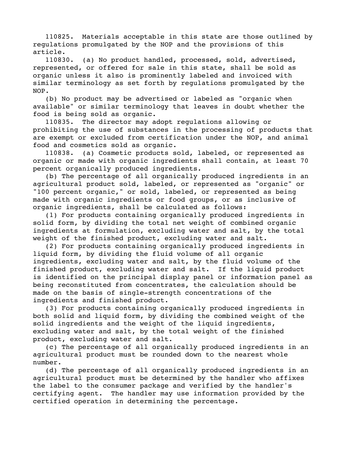110825. Materials acceptable in this state are those outlined by regulations promulgated by the NOP and the provisions of this article.

 110830. (a) No product handled, processed, sold, advertised, represented, or offered for sale in this state, shall be sold as organic unless it also is prominently labeled and invoiced with similar terminology as set forth by regulations promulgated by the NOP.

 (b) No product may be advertised or labeled as "organic when available" or similar terminology that leaves in doubt whether the food is being sold as organic.

 110835. The director may adopt regulations allowing or prohibiting the use of substances in the processing of products that are exempt or excluded from certification under the NOP, and animal food and cosmetics sold as organic.

 110838. (a) Cosmetic products sold, labeled, or represented as organic or made with organic ingredients shall contain, at least 70 percent organically produced ingredients.

 (b) The percentage of all organically produced ingredients in an agricultural product sold, labeled, or represented as "organic" or "100 percent organic," or sold, labeled, or represented as being made with organic ingredients or food groups, or as inclusive of organic ingredients, shall be calculated as follows:

 (1) For products containing organically produced ingredients in solid form, by dividing the total net weight of combined organic ingredients at formulation, excluding water and salt, by the total weight of the finished product, excluding water and salt.

 (2) For products containing organically produced ingredients in liquid form, by dividing the fluid volume of all organic ingredients, excluding water and salt, by the fluid volume of the finished product, excluding water and salt. If the liquid product is identified on the principal display panel or information panel as being reconstituted from concentrates, the calculation should be made on the basis of single-strength concentrations of the ingredients and finished product.

 (3) For products containing organically produced ingredients in both solid and liquid form, by dividing the combined weight of the solid ingredients and the weight of the liquid ingredients, excluding water and salt, by the total weight of the finished product, excluding water and salt.

 (c) The percentage of all organically produced ingredients in an agricultural product must be rounded down to the nearest whole number.

 (d) The percentage of all organically produced ingredients in an agricultural product must be determined by the handler who affixes the label to the consumer package and verified by the handler's certifying agent. The handler may use information provided by the certified operation in determining the percentage.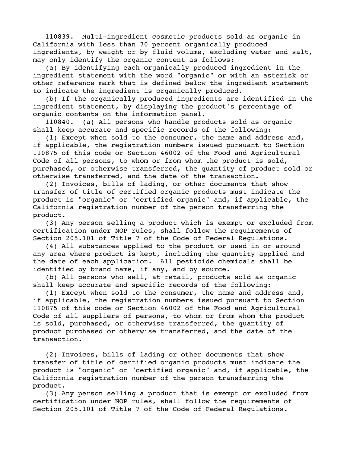110839. Multi-ingredient cosmetic products sold as organic in California with less than 70 percent organically produced ingredients, by weight or by fluid volume, excluding water and salt, may only identify the organic content as follows:

 (a) By identifying each organically produced ingredient in the ingredient statement with the word "organic" or with an asterisk or other reference mark that is defined below the ingredient statement to indicate the ingredient is organically produced.

 (b) If the organically produced ingredients are identified in the ingredient statement, by displaying the product's percentage of organic contents on the information panel.

 110840. (a) All persons who handle products sold as organic shall keep accurate and specific records of the following:

 (1) Except when sold to the consumer, the name and address and, if applicable, the registration numbers issued pursuant to Section 110875 of this code or Section 46002 of the Food and Agricultural Code of all persons, to whom or from whom the product is sold, purchased, or otherwise transferred, the quantity of product sold or otherwise transferred, and the date of the transaction.

 (2) Invoices, bills of lading, or other documents that show transfer of title of certified organic products must indicate the product is "organic" or "certified organic" and, if applicable, the California registration number of the person transferring the product.

 (3) Any person selling a product which is exempt or excluded from certification under NOP rules, shall follow the requirements of Section 205.101 of Title 7 of the Code of Federal Regulations.

 (4) All substances applied to the product or used in or around any area where product is kept, including the quantity applied and the date of each application. All pesticide chemicals shall be identified by brand name, if any, and by source.

 (b) All persons who sell, at retail, products sold as organic shall keep accurate and specific records of the following:

 (1) Except when sold to the consumer, the name and address and, if applicable, the registration numbers issued pursuant to Section 110875 of this code or Section 46002 of the Food and Agricultural Code of all suppliers of persons, to whom or from whom the product is sold, purchased, or otherwise transferred, the quantity of product purchased or otherwise transferred, and the date of the transaction.

 (2) Invoices, bills of lading or other documents that show transfer of title of certified organic products must indicate the product is "organic" or "certified organic" and, if applicable, the California registration number of the person transferring the product.

 (3) Any person selling a product that is exempt or excluded from certification under NOP rules, shall follow the requirements of Section 205.101 of Title 7 of the Code of Federal Regulations.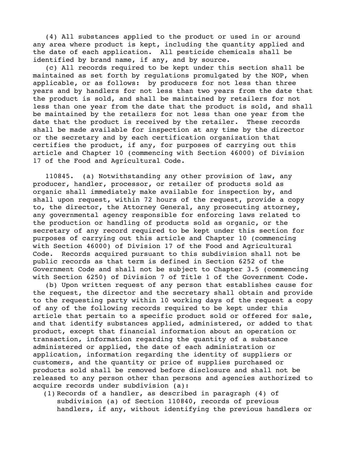(4) All substances applied to the product or used in or around any area where product is kept, including the quantity applied and the date of each application. All pesticide chemicals shall be identified by brand name, if any, and by source.

 (c) All records required to be kept under this section shall be maintained as set forth by regulations promulgated by the NOP, when applicable, or as follows: by producers for not less than three years and by handlers for not less than two years from the date that the product is sold, and shall be maintained by retailers for not less than one year from the date that the product is sold, and shall be maintained by the retailers for not less than one year from the date that the product is received by the retailer. These records shall be made available for inspection at any time by the director or the secretary and by each certification organization that certifies the product, if any, for purposes of carrying out this article and Chapter 10 (commencing with Section 46000) of Division 17 of the Food and Agricultural Code.

 110845. (a) Notwithstanding any other provision of law, any producer, handler, processor, or retailer of products sold as organic shall immediately make available for inspection by, and shall upon request, within 72 hours of the request, provide a copy to, the director, the Attorney General, any prosecuting attorney, any governmental agency responsible for enforcing laws related to the production or handling of products sold as organic, or the secretary of any record required to be kept under this section for purposes of carrying out this article and Chapter 10 (commencing with Section 46000) of Division 17 of the Food and Agricultural Code. Records acquired pursuant to this subdivision shall not be public records as that term is defined in Section 6252 of the Government Code and shall not be subject to Chapter 3.5 (commencing with Section 6250) of Division 7 of Title 1 of the Government Code.

 (b) Upon written request of any person that establishes cause for the request, the director and the secretary shall obtain and provide to the requesting party within 10 working days of the request a copy of any of the following records required to be kept under this article that pertain to a specific product sold or offered for sale, and that identify substances applied, administered, or added to that product, except that financial information about an operation or transaction, information regarding the quantity of a substance administered or applied, the date of each administration or application, information regarding the identity of suppliers or customers, and the quantity or price of supplies purchased or products sold shall be removed before disclosure and shall not be released to any person other than persons and agencies authorized to acquire records under subdivision (a):

(1) Records of a handler, as described in paragraph (4) of subdivision (a) of Section 110840, records of previous handlers, if any, without identifying the previous handlers or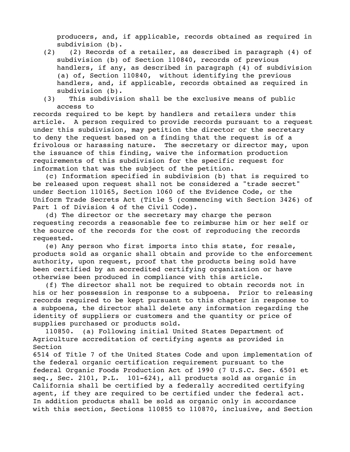producers, and, if applicable, records obtained as required in subdivision (b).

- (2) (2) Records of a retailer, as described in paragraph (4) of subdivision (b) of Section 110840, records of previous handlers, if any, as described in paragraph (4) of subdivision (a) of, Section 110840, without identifying the previous handlers, and, if applicable, records obtained as required in subdivision (b).
- (3) This subdivision shall be the exclusive means of public access to

records required to be kept by handlers and retailers under this article. A person required to provide records pursuant to a request under this subdivision, may petition the director or the secretary to deny the request based on a finding that the request is of a frivolous or harassing nature. The secretary or director may, upon the issuance of this finding, waive the information production requirements of this subdivision for the specific request for information that was the subject of the petition.

 (c) Information specified in subdivision (b) that is required to be released upon request shall not be considered a "trade secret" under Section 110165, Section 1060 of the Evidence Code, or the Uniform Trade Secrets Act (Title 5 (commencing with Section 3426) of Part 1 of Division 4 of the Civil Code).

 (d) The director or the secretary may charge the person requesting records a reasonable fee to reimburse him or her self or the source of the records for the cost of reproducing the records requested.

 (e) Any person who first imports into this state, for resale, products sold as organic shall obtain and provide to the enforcement authority, upon request, proof that the products being sold have been certified by an accredited certifying organization or have otherwise been produced in compliance with this article.

 (f) The director shall not be required to obtain records not in his or her possession in response to a subpoena. Prior to releasing records required to be kept pursuant to this chapter in response to a subpoena, the director shall delete any information regarding the identity of suppliers or customers and the quantity or price of supplies purchased or products sold.

 110850. (a) Following initial United States Department of Agriculture accreditation of certifying agents as provided in Section

6514 of Title 7 of the United States Code and upon implementation of the federal organic certification requirement pursuant to the federal Organic Foods Production Act of 1990 (7 U.S.C. Sec. 6501 et seq., Sec. 2101, P.L. 101-624), all products sold as organic in California shall be certified by a federally accredited certifying agent, if they are required to be certified under the federal act. In addition products shall be sold as organic only in accordance with this section, Sections 110855 to 110870, inclusive, and Section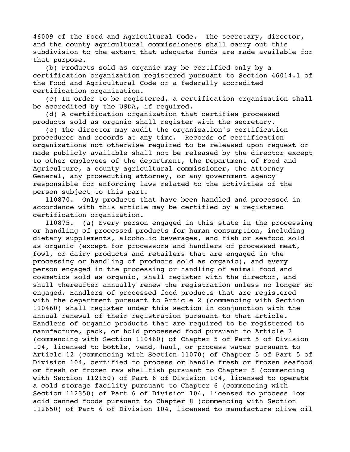46009 of the Food and Agricultural Code. The secretary, director, and the county agricultural commissioners shall carry out this subdivision to the extent that adequate funds are made available for that purpose.

 (b) Products sold as organic may be certified only by a certification organization registered pursuant to Section 46014.1 of the Food and Agricultural Code or a federally accredited certification organization.

 (c) In order to be registered, a certification organization shall be accredited by the USDA, if required.

 (d) A certification organization that certifies processed products sold as organic shall register with the secretary.

 (e) The director may audit the organization's certification procedures and records at any time. Records of certification organizations not otherwise required to be released upon request or made publicly available shall not be released by the director except to other employees of the department, the Department of Food and Agriculture, a county agricultural commissioner, the Attorney General, any prosecuting attorney, or any government agency responsible for enforcing laws related to the activities of the person subject to this part.

 110870. Only products that have been handled and processed in accordance with this article may be certified by a registered certification organization.

 110875. (a) Every person engaged in this state in the processing or handling of processed products for human consumption, including dietary supplements, alcoholic beverages, and fish or seafood sold as organic (except for processors and handlers of processed meat, fowl, or dairy products and retailers that are engaged in the processing or handling of products sold as organic), and every person engaged in the processing or handling of animal food and cosmetics sold as organic, shall register with the director, and shall thereafter annually renew the registration unless no longer so engaged. Handlers of processed food products that are registered with the department pursuant to Article 2 (commencing with Section 110460) shall register under this section in conjunction with the annual renewal of their registration pursuant to that article. Handlers of organic products that are required to be registered to manufacture, pack, or hold processed food pursuant to Article 2 (commencing with Section 110460) of Chapter 5 of Part 5 of Division 104, licensed to bottle, vend, haul, or process water pursuant to Article 12 (commencing with Section 11070) of Chapter 5 of Part 5 of Division 104, certified to process or handle fresh or frozen seafood or fresh or frozen raw shellfish pursuant to Chapter 5 (commencing with Section 112150) of Part 6 of Division 104, licensed to operate a cold storage facility pursuant to Chapter 6 (commencing with Section 112350) of Part 6 of Division 104, licensed to process low acid canned foods pursuant to Chapter 8 (commencing with Section 112650) of Part 6 of Division 104, licensed to manufacture olive oil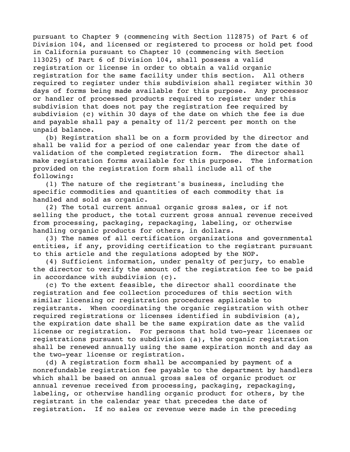pursuant to Chapter 9 (commencing with Section 112875) of Part 6 of Division 104, and licensed or registered to process or hold pet food in California pursuant to Chapter 10 (commencing with Section 113025) of Part 6 of Division 104, shall possess a valid registration or license in order to obtain a valid organic registration for the same facility under this section. All others required to register under this subdivision shall register within 30 days of forms being made available for this purpose. Any processor or handler of processed products required to register under this subdivision that does not pay the registration fee required by subdivision (c) within 30 days of the date on which the fee is due and payable shall pay a penalty of 11/2 percent per month on the unpaid balance.

 (b) Registration shall be on a form provided by the director and shall be valid for a period of one calendar year from the date of validation of the completed registration form. The director shall make registration forms available for this purpose. The information provided on the registration form shall include all of the following:

 (1) The nature of the registrant's business, including the specific commodities and quantities of each commodity that is handled and sold as organic.

 (2) The total current annual organic gross sales, or if not selling the product, the total current gross annual revenue received from processing, packaging, repackaging, labeling, or otherwise handling organic products for others, in dollars.

 (3) The names of all certification organizations and governmental entities, if any, providing certification to the registrant pursuant to this article and the regulations adopted by the NOP.

 (4) Sufficient information, under penalty of perjury, to enable the director to verify the amount of the registration fee to be paid in accordance with subdivision (c).

 (c) To the extent feasible, the director shall coordinate the registration and fee collection procedures of this section with similar licensing or registration procedures applicable to registrants. When coordinating the organic registration with other required registrations or licenses identified in subdivision (a), the expiration date shall be the same expiration date as the valid license or registration. For persons that hold two-year licenses or registrations pursuant to subdivision (a), the organic registration shall be renewed annually using the same expiration month and day as the two-year license or registration.

 (d) A registration form shall be accompanied by payment of a nonrefundable registration fee payable to the department by handlers which shall be based on annual gross sales of organic product or annual revenue received from processing, packaging, repackaging, labeling, or otherwise handling organic product for others, by the registrant in the calendar year that precedes the date of registration. If no sales or revenue were made in the preceding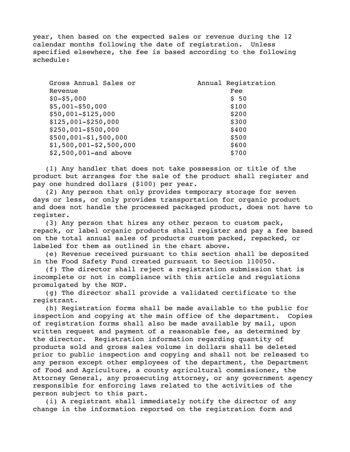year, then based on the expected sales or revenue during the 12 calendar months following the date of registration. Unless specified elsewhere, the fee is based according to the following schedule:

| Gross Annual Sales or     | Annual Registration |
|---------------------------|---------------------|
| Revenue                   | Fee                 |
| $$0 - $5,000$             | \$50                |
| $$5,001 - $50,000$        | \$100               |
| $$50,001 - $125,000$      | \$200               |
| $$125,001 - $250,000$     | \$300               |
| $$250,001 - $500,000$     | \$400               |
| \$500,001-\$1,500,000     | \$500               |
| $$1,500,001 - $2,500,000$ | \$600               |
| \$2,500,001-and above     | \$700               |

 (1) Any handler that does not take possession or title of the product but arranges for the sale of the product shall register and pay one hundred dollars (\$100) per year.

 (2) Any person that only provides temporary storage for seven days or less, or only provides transportation for organic product and does not handle the processed packaged product, does not have to register.

 (3) Any person that hires any other person to custom pack, repack, or label organic products shall register and pay a fee based on the total annual sales of products custom packed, repacked, or labeled for them as outlined in the chart above.

 (e) Revenue received pursuant to this section shall be deposited in the Food Safety Fund created pursuant to Section 110050.

 (f) The director shall reject a registration submission that is incomplete or not in compliance with this article and regulations promulgated by the NOP.

 (g) The director shall provide a validated certificate to the registrant.

 (h) Registration forms shall be made available to the public for inspection and copying at the main office of the department. Copies of registration forms shall also be made available by mail, upon written request and payment of a reasonable fee, as determined by the director. Registration information regarding quantity of products sold and gross sales volume in dollars shall be deleted prior to public inspection and copying and shall not be released to any person except other employees of the department, the Department of Food and Agriculture, a county agricultural commissioner, the Attorney General, any prosecuting attorney, or any government agency responsible for enforcing laws related to the activities of the person subject to this part.

 (i) A registrant shall immediately notify the director of any change in the information reported on the registration form and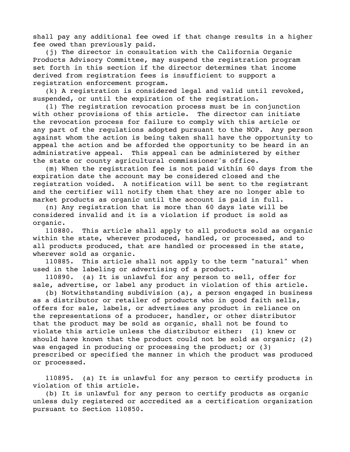shall pay any additional fee owed if that change results in a higher fee owed than previously paid.

 (j) The director in consultation with the California Organic Products Advisory Committee, may suspend the registration program set forth in this section if the director determines that income derived from registration fees is insufficient to support a registration enforcement program.

 (k) A registration is considered legal and valid until revoked, suspended, or until the expiration of the registration.

 (l) The registration revocation process must be in conjunction with other provisions of this article. The director can initiate the revocation process for failure to comply with this article or any part of the regulations adopted pursuant to the NOP. Any person against whom the action is being taken shall have the opportunity to appeal the action and be afforded the opportunity to be heard in an administrative appeal. This appeal can be administered by either the state or county agricultural commissioner's office.

 (m) When the registration fee is not paid within 60 days from the expiration date the account may be considered closed and the registration voided. A notification will be sent to the registrant and the certifier will notify them that they are no longer able to market products as organic until the account is paid in full.

 (n) Any registration that is more than 60 days late will be considered invalid and it is a violation if product is sold as organic.

 110880. This article shall apply to all products sold as organic within the state, wherever produced, handled, or processed, and to all products produced, that are handled or processed in the state, wherever sold as organic.

 110885. This article shall not apply to the term "natural" when used in the labeling or advertising of a product.

 110890. (a) It is unlawful for any person to sell, offer for sale, advertise, or label any product in violation of this article.

 (b) Notwithstanding subdivision (a), a person engaged in business as a distributor or retailer of products who in good faith sells, offers for sale, labels, or advertises any product in reliance on the representations of a producer, handler, or other distributor that the product may be sold as organic, shall not be found to violate this article unless the distributor either: (1) knew or should have known that the product could not be sold as organic; (2) was engaged in producing or processing the product; or (3) prescribed or specified the manner in which the product was produced or processed.

 110895. (a) It is unlawful for any person to certify products in violation of this article.

 (b) It is unlawful for any person to certify products as organic unless duly registered or accredited as a certification organization pursuant to Section 110850.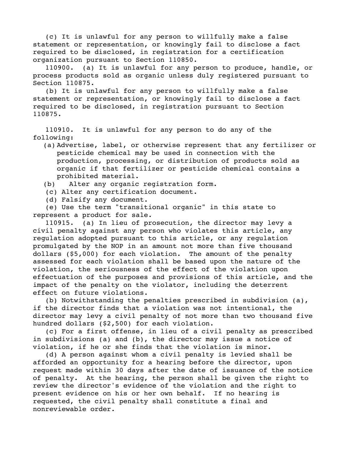(c) It is unlawful for any person to willfully make a false statement or representation, or knowingly fail to disclose a fact required to be disclosed, in registration for a certification organization pursuant to Section 110850.

 110900. (a) It is unlawful for any person to produce, handle, or process products sold as organic unless duly registered pursuant to Section 110875.

 (b) It is unlawful for any person to willfully make a false statement or representation, or knowingly fail to disclose a fact required to be disclosed, in registration pursuant to Section 110875.

 110910. It is unlawful for any person to do any of the following:

- (a) Advertise, label, or otherwise represent that any fertilizer or pesticide chemical may be used in connection with the production, processing, or distribution of products sold as organic if that fertilizer or pesticide chemical contains a prohibited material.
- (b) Alter any organic registration form.
- (c) Alter any certification document.
- (d) Falsify any document.

 (e) Use the term "transitional organic" in this state to represent a product for sale.

 110915. (a) In lieu of prosecution, the director may levy a civil penalty against any person who violates this article, any regulation adopted pursuant to this article, or any regulation promulgated by the NOP in an amount not more than five thousand dollars (\$5,000) for each violation. The amount of the penalty assessed for each violation shall be based upon the nature of the violation, the seriousness of the effect of the violation upon effectuation of the purposes and provisions of this article, and the impact of the penalty on the violator, including the deterrent effect on future violations.

 (b) Notwithstanding the penalties prescribed in subdivision (a), if the director finds that a violation was not intentional, the director may levy a civil penalty of not more than two thousand five hundred dollars (\$2,500) for each violation.

 (c) For a first offense, in lieu of a civil penalty as prescribed in subdivisions (a) and (b), the director may issue a notice of violation, if he or she finds that the violation is minor.

 (d) A person against whom a civil penalty is levied shall be afforded an opportunity for a hearing before the director, upon request made within 30 days after the date of issuance of the notice of penalty. At the hearing, the person shall be given the right to review the director's evidence of the violation and the right to present evidence on his or her own behalf. If no hearing is requested, the civil penalty shall constitute a final and nonreviewable order.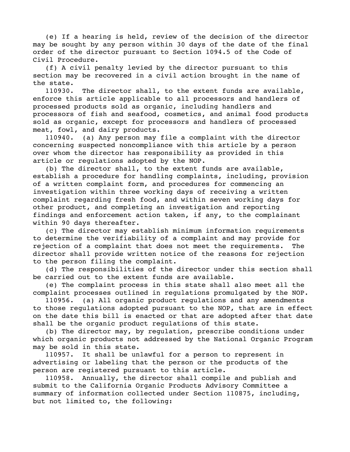(e) If a hearing is held, review of the decision of the director may be sought by any person within 30 days of the date of the final order of the director pursuant to Section 1094.5 of the Code of Civil Procedure.

 (f) A civil penalty levied by the director pursuant to this section may be recovered in a civil action brought in the name of the state.

 110930. The director shall, to the extent funds are available, enforce this article applicable to all processors and handlers of processed products sold as organic, including handlers and processors of fish and seafood, cosmetics, and animal food products sold as organic, except for processors and handlers of processed meat, fowl, and dairy products.

 110940. (a) Any person may file a complaint with the director concerning suspected noncompliance with this article by a person over whom the director has responsibility as provided in this article or regulations adopted by the NOP.

 (b) The director shall, to the extent funds are available, establish a procedure for handling complaints, including, provision of a written complaint form, and procedures for commencing an investigation within three working days of receiving a written complaint regarding fresh food, and within seven working days for other product, and completing an investigation and reporting findings and enforcement action taken, if any, to the complainant within 90 days thereafter.

 (c) The director may establish minimum information requirements to determine the verifiability of a complaint and may provide for rejection of a complaint that does not meet the requirements. The director shall provide written notice of the reasons for rejection to the person filing the complaint.

 (d) The responsibilities of the director under this section shall be carried out to the extent funds are available.

 (e) The complaint process in this state shall also meet all the complaint processes outlined in regulations promulgated by the NOP.

 110956. (a) All organic product regulations and any amendments to those regulations adopted pursuant to the NOP, that are in effect on the date this bill is enacted or that are adopted after that date shall be the organic product regulations of this state.

 (b) The director may, by regulation, prescribe conditions under which organic products not addressed by the National Organic Program may be sold in this state.

 110957. It shall be unlawful for a person to represent in advertising or labeling that the person or the products of the person are registered pursuant to this article.

 110958. Annually, the director shall compile and publish and submit to the California Organic Products Advisory Committee a summary of information collected under Section 110875, including, but not limited to, the following: